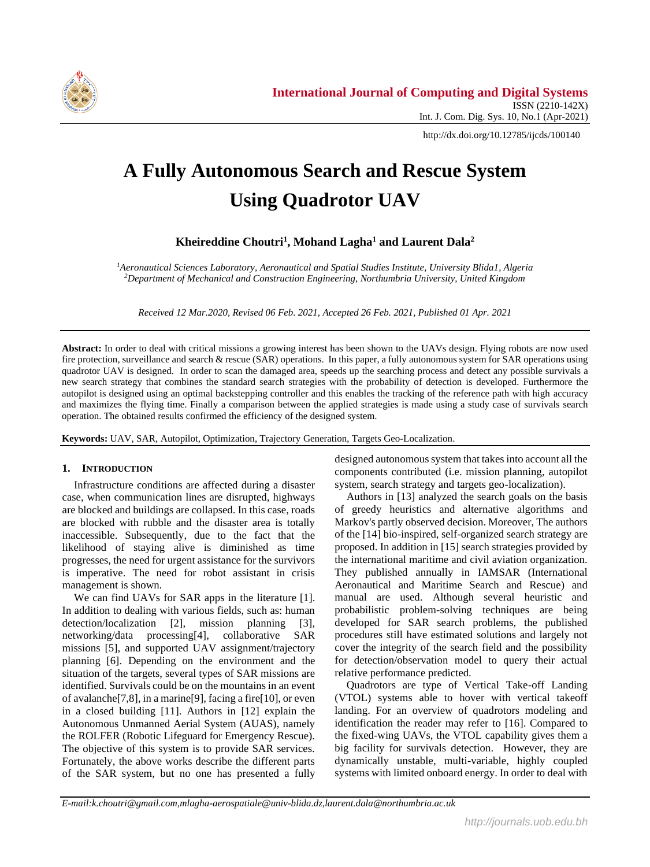

http://dx.doi.org/10.12785/ijcds/100140

# **A Fully Autonomous Search and Rescue System Using Quadrotor UAV**

**Kheireddine Choutri<sup>1</sup> , Mohand Lagha<sup>1</sup> and Laurent Dala<sup>2</sup>**

*<sup>1</sup>Aeronautical Sciences Laboratory, Aeronautical and Spatial Studies Institute, University Blida1, Algeria <sup>2</sup>Department of Mechanical and Construction Engineering, Northumbria University, United Kingdom*

*Received 12 Mar.2020, Revised 06 Feb. 2021, Accepted 26 Feb. 2021, Published 01 Apr. 2021*

**Abstract:** In order to deal with critical missions a growing interest has been shown to the UAVs design. Flying robots are now used fire protection, surveillance and search & rescue (SAR) operations. In this paper, a fully autonomous system for SAR operations using quadrotor UAV is designed. In order to scan the damaged area, speeds up the searching process and detect any possible survivals a new search strategy that combines the standard search strategies with the probability of detection is developed. Furthermore the autopilot is designed using an optimal backstepping controller and this enables the tracking of the reference path with high accuracy and maximizes the flying time. Finally a comparison between the applied strategies is made using a study case of survivals search operation. The obtained results confirmed the efficiency of the designed system.

**Keywords:** UAV, SAR, Autopilot, Optimization, Trajectory Generation, Targets Geo-Localization.

# **1. INTRODUCTION**

Infrastructure conditions are affected during a disaster case, when communication lines are disrupted, highways are blocked and buildings are collapsed. In this case, roads are blocked with rubble and the disaster area is totally inaccessible. Subsequently, due to the fact that the likelihood of staying alive is diminished as time progresses, the need for urgent assistance for the survivors is imperative. The need for robot assistant in crisis management is shown.

We can find UAVs for SAR apps in the literature [1]. In addition to dealing with various fields, such as: human detection/localization [2], mission planning [3], networking/data processing[4], collaborative SAR missions [5], and supported UAV assignment/trajectory planning [6]. Depending on the environment and the situation of the targets, several types of SAR missions are identified. Survivals could be on the mountains in an event of avalanche[7,8], in a marine[9], facing a fire[10], or even in a closed building [11]. Authors in [12] explain the Autonomous Unmanned Aerial System (AUAS), namely the ROLFER (Robotic Lifeguard for Emergency Rescue). The objective of this system is to provide SAR services. Fortunately, the above works describe the different parts of the SAR system, but no one has presented a fully

designed autonomous system that takes into account all the components contributed (i.e. mission planning, autopilot system, search strategy and targets geo-localization).

Authors in [13] analyzed the search goals on the basis of greedy heuristics and alternative algorithms and Markov's partly observed decision. Moreover, The authors of the [14] bio-inspired, self-organized search strategy are proposed. In addition in [15] search strategies provided by the international maritime and civil aviation organization. They published annually in IAMSAR (International Aeronautical and Maritime Search and Rescue) and manual are used. Although several heuristic and probabilistic problem-solving techniques are being developed for SAR search problems, the published procedures still have estimated solutions and largely not cover the integrity of the search field and the possibility for detection/observation model to query their actual relative performance predicted.

Quadrotors are type of Vertical Take-off Landing (VTOL) systems able to hover with vertical takeoff landing. For an overview of quadrotors modeling and identification the reader may refer to [16]. Compared to the fixed-wing UAVs, the VTOL capability gives them a big facility for survivals detection. However, they are dynamically unstable, multi-variable, highly coupled systems with limited onboard energy. In order to deal with

*E-mail:k.choutri@gmail.com,mlagha-aerospatiale@univ-blida.dz,laurent.dala@northumbria.ac.uk*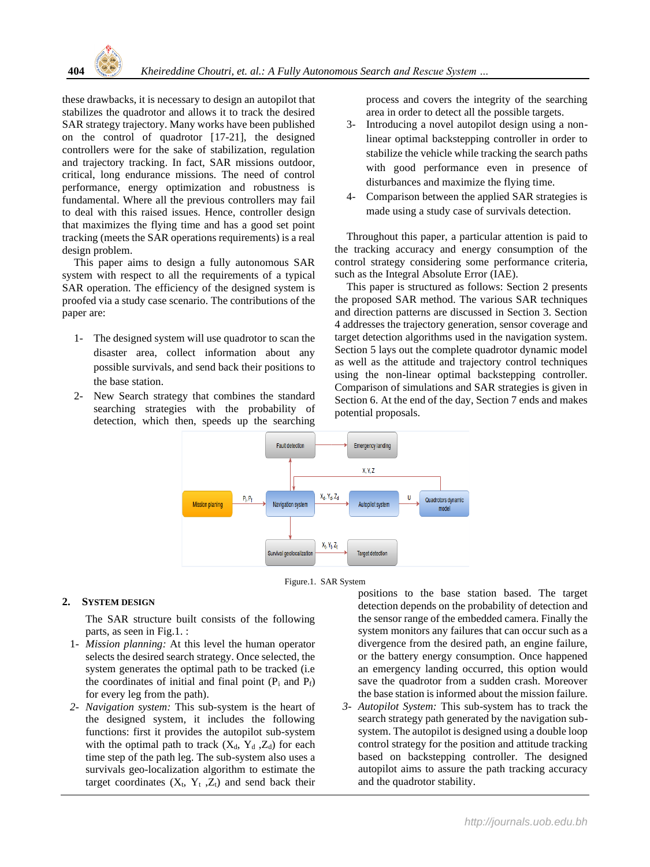

these drawbacks, it is necessary to design an autopilot that stabilizes the quadrotor and allows it to track the desired SAR strategy trajectory. Many works have been published on the control of quadrotor [17-21], the designed controllers were for the sake of stabilization, regulation and trajectory tracking. In fact, SAR missions outdoor, critical, long endurance missions. The need of control performance, energy optimization and robustness is fundamental. Where all the previous controllers may fail to deal with this raised issues. Hence, controller design that maximizes the flying time and has a good set point tracking (meets the SAR operations requirements) is a real design problem.

This paper aims to design a fully autonomous SAR system with respect to all the requirements of a typical SAR operation. The efficiency of the designed system is proofed via a study case scenario. The contributions of the paper are:

- 1- The designed system will use quadrotor to scan the disaster area, collect information about any possible survivals, and send back their positions to the base station.
- 2- New Search strategy that combines the standard searching strategies with the probability of detection, which then, speeds up the searching

process and covers the integrity of the searching area in order to detect all the possible targets.

- 3- Introducing a novel autopilot design using a nonlinear optimal backstepping controller in order to stabilize the vehicle while tracking the search paths with good performance even in presence of disturbances and maximize the flying time.
- 4- Comparison between the applied SAR strategies is made using a study case of survivals detection.

Throughout this paper, a particular attention is paid to the tracking accuracy and energy consumption of the control strategy considering some performance criteria, such as the Integral Absolute Error (IAE).

This paper is structured as follows: Section 2 presents the proposed SAR method. The various SAR techniques and direction patterns are discussed in Section 3. Section 4 addresses the trajectory generation, sensor coverage and target detection algorithms used in the navigation system. Section 5 lays out the complete quadrotor dynamic model as well as the attitude and trajectory control techniques using the non-linear optimal backstepping controller. Comparison of simulations and SAR strategies is given in Section 6. At the end of the day, Section 7 ends and makes potential proposals.



Figure.1. SAR System

# **2. SYSTEM DESIGN**

The SAR structure built consists of the following parts, as seen in Fig.1. :

- 1- *Mission planning:* At this level the human operator selects the desired search strategy. Once selected, the system generates the optimal path to be tracked (i.e the coordinates of initial and final point  $(P_i \text{ and } P_f)$ for every leg from the path).
- *2- Navigation system:* This sub-system is the heart of the designed system, it includes the following functions: first it provides the autopilot sub-system with the optimal path to track  $(X_d, Y_d, Z_d)$  for each time step of the path leg. The sub-system also uses a survivals geo-localization algorithm to estimate the target coordinates  $(X_t, Y_t, Z_t)$  and send back their

positions to the base station based. The target detection depends on the probability of detection and the sensor range of the embedded camera. Finally the system monitors any failures that can occur such as a divergence from the desired path, an engine failure, or the battery energy consumption. Once happened an emergency landing occurred, this option would save the quadrotor from a sudden crash. Moreover the base station is informed about the mission failure.

*3- Autopilot System:* This sub-system has to track the search strategy path generated by the navigation subsystem. The autopilot is designed using a double loop control strategy for the position and attitude tracking based on backstepping controller. The designed autopilot aims to assure the path tracking accuracy and the quadrotor stability.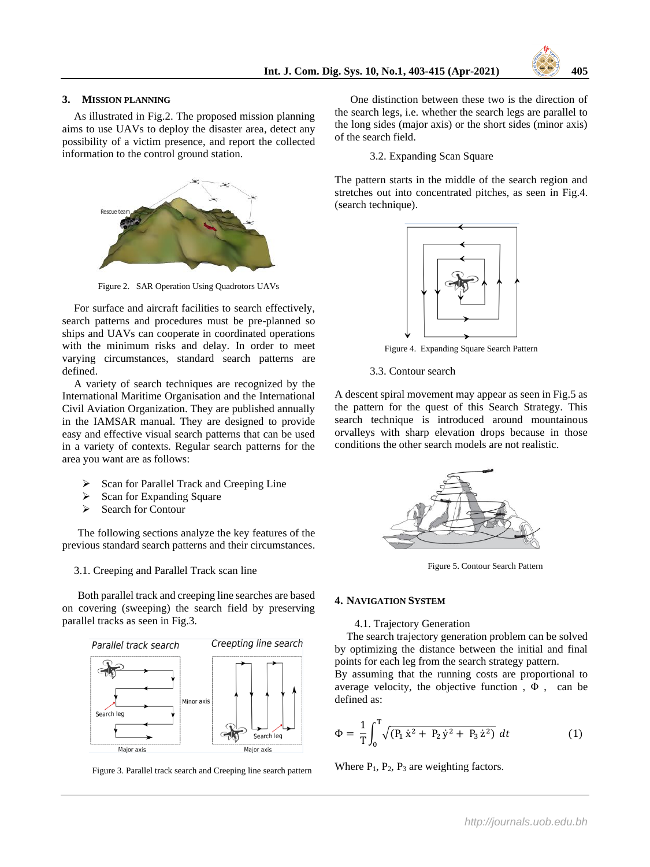

## **3. MISSION PLANNING**

As illustrated in Fig.2. The proposed mission planning aims to use UAVs to deploy the disaster area, detect any possibility of a victim presence, and report the collected information to the control ground station.



Figure 2. SAR Operation Using Quadrotors UAVs

For surface and aircraft facilities to search effectively, search patterns and procedures must be pre-planned so ships and UAVs can cooperate in coordinated operations with the minimum risks and delay. In order to meet varying circumstances, standard search patterns are defined.

A variety of search techniques are recognized by the International Maritime Organisation and the International Civil Aviation Organization. They are published annually in the IAMSAR manual. They are designed to provide easy and effective visual search patterns that can be used in a variety of contexts. Regular search patterns for the area you want are as follows:

- Scan for Parallel Track and Creeping Line
- Scan for Expanding Square
- ➢ Search for Contour

The following sections analyze the key features of the previous standard search patterns and their circumstances.

3.1. Creeping and Parallel Track scan line

Both parallel track and creeping line searches are based on covering (sweeping) the search field by preserving parallel tracks as seen in Fig.3.



Figure 3. Parallel track search and Creeping line search pattern

One distinction between these two is the direction of the search legs, i.e. whether the search legs are parallel to the long sides (major axis) or the short sides (minor axis) of the search field.

3.2. Expanding Scan Square

The pattern starts in the middle of the search region and stretches out into concentrated pitches, as seen in Fig.4. (search technique).



Figure 4. Expanding Square Search Pattern

3.3. Contour search

A descent spiral movement may appear as seen in Fig.5 as the pattern for the quest of this Search Strategy. This search technique is introduced around mountainous orvalleys with sharp elevation drops because in those conditions the other search models are not realistic.



Figure 5. Contour Search Pattern

#### **4. NAVIGATION SYSTEM**

4.1. Trajectory Generation

The search trajectory generation problem can be solved by optimizing the distance between the initial and final points for each leg from the search strategy pattern.

By assuming that the running costs are proportional to average velocity, the objective function,  $\Phi$ , can be defined as:

$$
\Phi = \frac{1}{T} \int_0^T \sqrt{(P_1 \dot{x}^2 + P_2 \dot{y}^2 + P_3 \dot{z}^2)} dt
$$
 (1)

Where  $P_1$ ,  $P_2$ ,  $P_3$  are weighting factors.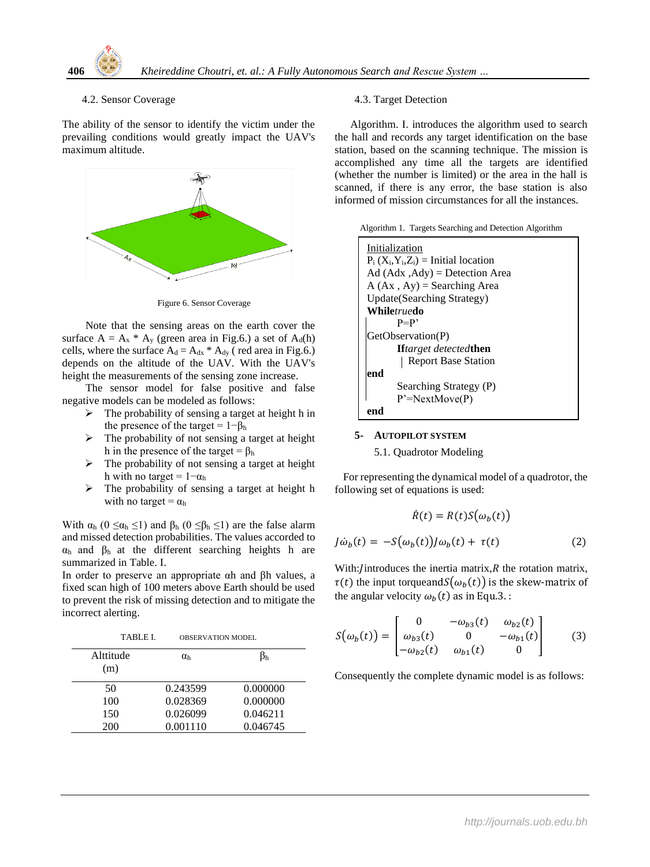

# 4.2. Sensor Coverage

The ability of the sensor to identify the victim under the prevailing conditions would greatly impact the UAV's maximum altitude.



Figure 6. Sensor Coverage

Note that the sensing areas on the earth cover the surface  $A = A_x * A_y$  (green area in Fig.6.) a set of  $A_d(h)$ cells, where the surface  $A_d = A_{dx} * A_{dy}$  (red area in Fig.6.) depends on the altitude of the UAV. With the UAV's height the measurements of the sensing zone increase.

The sensor model for false positive and false negative models can be modeled as follows:

- $\triangleright$  The probability of sensing a target at height h in the presence of the target =  $1-\beta_h$
- $\triangleright$  The probability of not sensing a target at height h in the presence of the target =  $\beta_h$
- $\triangleright$  The probability of not sensing a target at height h with no target =  $1-\alpha_h$
- $\triangleright$  The probability of sensing a target at height h with no target =  $\alpha_h$

With  $\alpha_h$  ( $0 \leq \alpha_h \leq 1$ ) and  $\beta_h$  ( $0 \leq \beta_h \leq 1$ ) are the false alarm and missed detection probabilities. The values accorded to  $\alpha_h$  and  $\beta_h$  at the different searching heights h are summarized in Table. I.

In order to preserve an appropriate αh and βh values, a fixed scan high of 100 meters above Earth should be used to prevent the risk of missing detection and to mitigate the incorrect alerting.

| TABLE L          | <b>OBSERVATION MODEL</b> |          |
|------------------|--------------------------|----------|
| Alttitude<br>(m) | $\alpha_{\rm h}$         |          |
| 50               | 0.243599                 | 0.000000 |
| 100              | 0.028369                 | 0.000000 |
| 150              | 0.026099                 | 0.046211 |
| 200              | 0.001110                 | 0.046745 |

# 4.3. Target Detection

Algorithm. I. introduces the algorithm used to search the hall and records any target identification on the base station, based on the scanning technique. The mission is accomplished any time all the targets are identified (whether the number is limited) or the area in the hall is scanned, if there is any error, the base station is also informed of mission circumstances for all the instances.

| Algorithm 1. Targets Searching and Detection Algorithm |  |  |  |
|--------------------------------------------------------|--|--|--|
|                                                        |  |  |  |

| Initialization                          |
|-----------------------------------------|
|                                         |
| $P_i(X_i, Y_i, Z_i)$ = Initial location |
| $Ad (Adx, Ady) =$ Detection Area        |
| $A (Ax, Ay) =$ Searching Area           |
| <b>Update</b> (Searching Strategy)      |
| While <i>true</i> do                    |
| $P = P'$                                |
| GetObservation(P)                       |
| <b>If</b> target detected <b>then</b>   |
| <b>Report Base Station</b>              |
| end                                     |
| Searching Strategy (P)                  |
| $P' = NextMove(P)$                      |
|                                         |

### **5- AUTOPILOT SYSTEM**

#### 5.1. Quadrotor Modeling

 For representing the dynamical model of a quadrotor, the following set of equations is used:

$$
\dot{R}(t) = R(t)S(\omega_b(t))
$$

$$
J\dot{\omega}_b(t) = -S(\omega_b(t))J\omega_b(t) + \tau(t)
$$
(2)

With:/introduces the inertia matrix, $R$  the rotation matrix,  $\tau(t)$  the input torqueand $S(\omega_b(t))$  is the skew-matrix of the angular velocity  $\omega_b(t)$  as in Equ.3.:

$$
S(\omega_b(t)) = \begin{bmatrix} 0 & -\omega_{b3}(t) & \omega_{b2}(t) \\ \omega_{b3}(t) & 0 & -\omega_{b1}(t) \\ -\omega_{b2}(t) & \omega_{b1}(t) & 0 \end{bmatrix}
$$
 (3)

Consequently the complete dynamic model is as follows: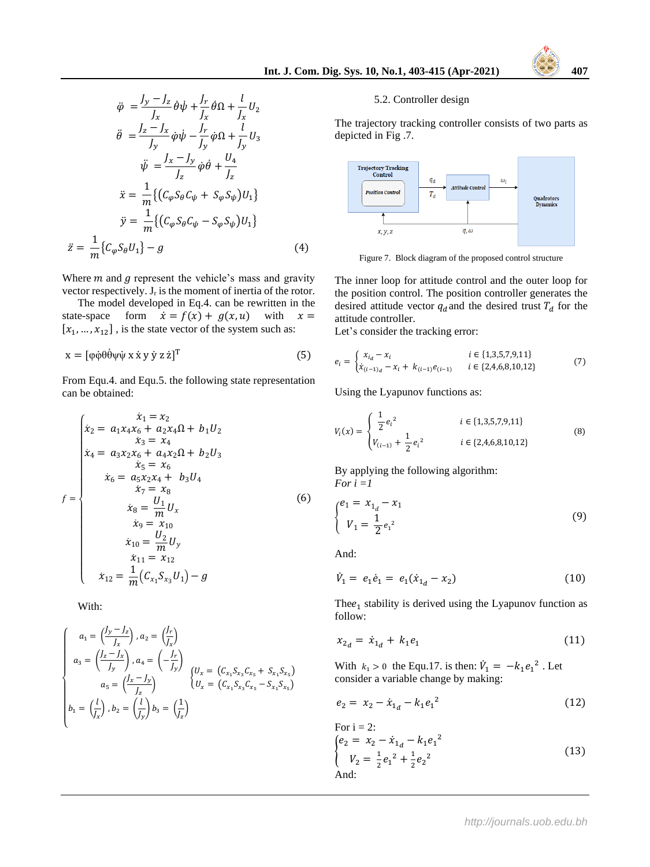$$
\ddot{\varphi} = \frac{J_y - J_z}{J_x} \dot{\theta} \dot{\psi} + \frac{J_r}{J_x} \dot{\theta} \Omega + \frac{l}{J_x} U_2
$$

$$
\ddot{\theta} = \frac{J_z - J_x}{J_y} \dot{\phi} \dot{\psi} - \frac{J_r}{J_y} \dot{\phi} \Omega + \frac{l}{J_y} U_3
$$

$$
\ddot{\psi} = \frac{J_x - J_y}{J_z} \dot{\phi} \dot{\theta} + \frac{U_4}{J_z}
$$

$$
\ddot{x} = \frac{1}{m} \{ (C_{\varphi} S_{\theta} C_{\psi} + S_{\varphi} S_{\psi}) U_1 \}
$$

$$
\ddot{y} = \frac{1}{m} \{ (C_{\varphi} S_{\theta} C_{\psi} - S_{\varphi} S_{\psi}) U_1 \}
$$

$$
\ddot{z} = \frac{1}{m} \{ C_{\varphi} S_{\theta} U_1 \} - g
$$
(4)

Where  $m$  and  $q$  represent the vehicle's mass and gravity vector respectively.  $J_r$  is the moment of inertia of the rotor.

The model developed in Eq.4. can be rewritten in the state-space form  $\dot{x} = f(x) + g(x, u)$  with  $x =$  $[x_1, ..., x_{12}]$ , is the state vector of the system such as:

$$
x = [\phi \dot{\phi} \dot{\theta} \dot{\theta} \dot{\phi} \dot{\phi} \dot{\phi} \dot{x} \dot{x} \dot{y} \dot{y} z \dot{z}]^{T}
$$
 (5)

From Equ.4. and Equ.5. the following state representation can be obtained:

$$
f = \begin{cases}\n x_1 = x_2 \\
 x_2 = a_1 x_4 x_6 + a_2 x_4 \Omega + b_1 U_2 \\
 x_3 = x_4 \\
 x_4 = a_3 x_2 x_6 + a_4 x_2 \Omega + b_2 U_3 \\
 x_5 = x_6 \\
 x_6 = a_5 x_2 x_4 + b_3 U_4 \\
 x_7 = x_8 \\
 x_8 = \frac{U_1}{m} U_x \\
 x_9 = x_{10} \\
 x_{10} = \frac{U_2}{m} U_y \\
 x_{11} = x_{12} \\
 x_{12} = \frac{1}{m} (C_{x_1} S_{x_3} U_1) - g\n\end{cases}
$$
\n(6)

With:

$$
\begin{cases}\n a_1 = \left(\frac{J_y - J_z}{J_x}\right), a_2 = \left(\frac{J_r}{J_x}\right) \\
 a_3 = \left(\frac{J_z - J_x}{J_y}\right), a_4 = \left(-\frac{J_r}{J_y}\right) \\
 a_5 = \left(\frac{J_x - J_y}{J_z}\right) \\
 b_1 = \left(\frac{l}{J_x}\right), b_2 = \left(\frac{l}{J_y}\right)b_3 = \left(\frac{1}{J_z}\right)\n\end{cases}\n\begin{cases}\n U_x = (C_{x_1}S_{x_3}C_{x_5} + S_{x_1}S_{x_5}) \\
 U_x = (C_{x_1}S_{x_3}C_{x_5} - S_{x_1}S_{x_5})\n\end{cases}
$$

## 5.2. Controller design

The trajectory tracking controller consists of two parts as depicted in Fig .7.



Figure 7. Block diagram of the proposed control structure

The inner loop for attitude control and the outer loop for the position control. The position controller generates the desired attitude vector  $q_d$  and the desired trust  $T_d$  for the attitude controller.

Let's consider the tracking error:

$$
e_i = \begin{cases} x_{i_d} - x_i & i \in \{1,3,5,7,9,11\} \\ \dot{x}_{(i-1)_d} - x_i + k_{(i-1)}e_{(i-1)} & i \in \{2,4,6,8,10,12\} \end{cases}
$$
(7)

Using the Lyapunov functions as:

$$
V_i(x) = \begin{cases} \frac{1}{2} e_i^2 & i \in \{1,3,5,7,9,11\} \\ V_{(i-1)} + \frac{1}{2} e_i^2 & i \in \{2,4,6,8,10,12\} \end{cases}
$$
(8)

By applying the following algorithm: *For i =1*

$$
\begin{cases} e_1 = x_{1_d} - x_1 \\ V_1 = \frac{1}{2} e_1^2 \end{cases}
$$
 (9)

And:

$$
\dot{V}_1 = e_1 \dot{e}_1 = e_1 (\dot{x}_{1d} - x_2) \tag{10}
$$

The $e_1$  stability is derived using the Lyapunov function as follow:

$$
x_{2d} = \dot{x}_{1d} + k_1 e_1 \tag{11}
$$

With  $k_1 > 0$  the Equ.17. is then:  $\dot{V}_1 = -k_1 e_1^2$ . Let consider a variable change by making:

$$
e_2 = x_2 - \dot{x}_{1d} - k_1 e_1^2 \tag{12}
$$

For i = 2:  
\n
$$
\begin{cases}\ne_2 = x_2 - \dot{x}_{1d} - k_1 e_1^2 \\
V_2 = \frac{1}{2} e_1^2 + \frac{1}{2} e_2^2\n\end{cases}
$$
\n(13)  
\nAnd: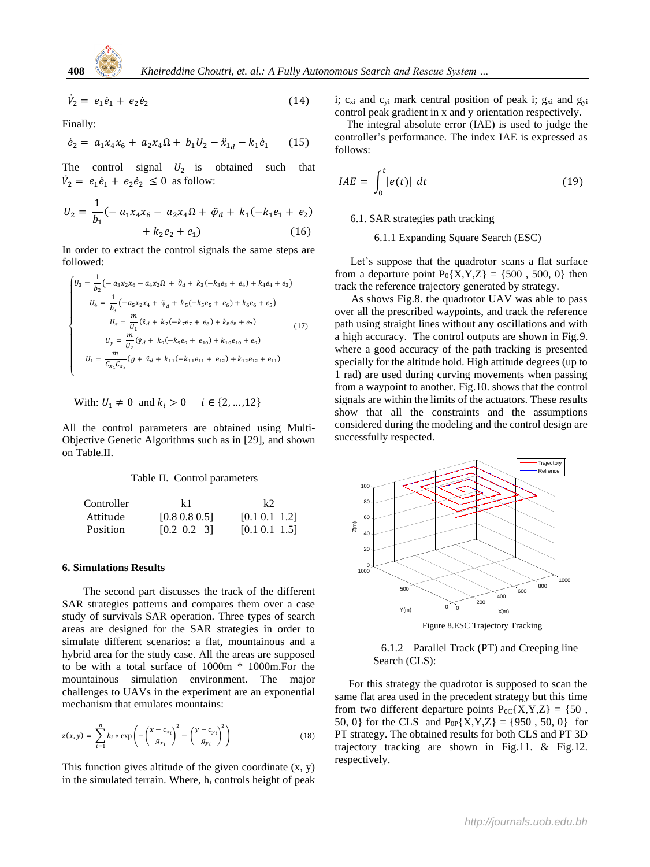$$
\dot{V}_2 = e_1 \dot{e}_1 + e_2 \dot{e}_2 \tag{14}
$$

Finally:

$$
\dot{e}_2 = a_1 x_4 x_6 + a_2 x_4 \Omega + b_1 U_2 - \ddot{x}_{1d} - k_1 \dot{e}_1 \qquad (15)
$$

The control signal  $U_2$  is obtained such that  $\dot{V}_2 = e_1 \dot{e}_1 + e_2 \dot{e}_2 \leq 0$  as follow:

$$
U_2 = \frac{1}{b_1}(-a_1x_4x_6 - a_2x_4\Omega + \ddot{\varphi}_d + k_1(-k_1e_1 + e_2) + k_2e_2 + e_1)
$$
 (16)

In order to extract the control signals the same steps are followed:

$$
\begin{cases}\nU_3 = \frac{1}{b_2} \left( -a_3 x_2 x_6 - a_4 x_2 \Omega + \ddot{\theta}_d + k_3 (-k_3 e_3 + e_4) + k_4 e_4 + e_3 \right) \\
U_4 = \frac{1}{b_3} \left( -a_5 x_2 x_4 + \ddot{\psi}_d + k_5 (-k_5 e_5 + e_6) + k_6 e_6 + e_5 \right) \\
U_x = \frac{m}{U_1} (\ddot{x}_d + k_7 (-k_7 e_7 + e_8) + k_8 e_8 + e_7) \\
U_y = \frac{m}{U_2} (\ddot{y}_d + k_9 (-k_9 e_9 + e_{10}) + k_{10} e_{10} + e_9) \\
U_1 = \frac{m}{C_{x_1} C_{x_3}} (g + \ddot{z}_d + k_{11} (-k_{11} e_{11} + e_{12}) + k_{12} e_{12} + e_{11})\n\end{cases}
$$
\n(17)

With: 
$$
U_1 \neq 0
$$
 and  $k_i > 0$   $i \in \{2, ..., 12\}$ 

All the control parameters are obtained using Multi-Objective Genetic Algorithms such as in [29], and shown on Table.II.

Table II. Control parameters

| Controller | k 1                 | レつ            |
|------------|---------------------|---------------|
| Attitude   | $[0.8 \ 0.8 \ 0.5]$ | [0.1 0.1 1.2] |
| Position   | $[0.2 \ 0.2 \ 3]$   | [0.1 0.1 1.5] |

#### **6. Simulations Results**

 The second part discusses the track of the different SAR strategies patterns and compares them over a case study of survivals SAR operation. Three types of search areas are designed for the SAR strategies in order to simulate different scenarios: a flat, mountainous and a hybrid area for the study case. All the areas are supposed to be with a total surface of 1000m \* 1000m.For the mountainous simulation environment. The major challenges to UAVs in the experiment are an exponential mechanism that emulates mountains:

$$
z(x, y) = \sum_{i=1}^{n} h_i * \exp\left(-\left(\frac{x - c_{x_i}}{g_{x_i}}\right)^2 - \left(\frac{y - c_{y_i}}{g_{y_i}}\right)^2\right)
$$
(18)

This function gives altitude of the given coordinate  $(x, y)$ in the simulated terrain. Where, h<sup>i</sup> controls height of peak i;  $c_{xi}$  and  $c_{yi}$  mark central position of peak i;  $g_{xi}$  and  $g_{yi}$ control peak gradient in x and y orientation respectively.

The integral absolute error (IAE) is used to judge the controller's performance. The index IAE is expressed as follows:

$$
IAE = \int_0^t |e(t)| \ dt \tag{19}
$$

#### 6.1. SAR strategies path tracking

6.1.1 Expanding Square Search (ESC)

Let's suppose that the quadrotor scans a flat surface from a departure point  $P_0\{X, Y, Z\} = \{500, 500, 0\}$  then track the reference trajectory generated by strategy.

 As shows Fig.8. the quadrotor UAV was able to pass over all the prescribed waypoints, and track the reference path using straight lines without any oscillations and with a high accuracy. The control outputs are shown in Fig.9. where a good accuracy of the path tracking is presented specially for the altitude hold. High attitude degrees (up to 1 rad) are used during curving movements when passing from a waypoint to another. Fig.10. shows that the control signals are within the limits of the actuators. These results show that all the constraints and the assumptions considered during the modeling and the control design are successfully respected.



6.1.2 Parallel Track (PT) and Creeping line

 For this strategy the quadrotor is supposed to scan the same flat area used in the precedent strategy but this time from two different departure points  $P_{0C} \{X, Y, Z\} = \{50, \}$ 50, 0} for the CLS and  $P_{0P}{X,Y,Z} = {950, 50, 0}$  for PT strategy. The obtained results for both CLS and PT 3D trajectory tracking are shown in Fig.11. & Fig.12. respectively.

Search (CLS):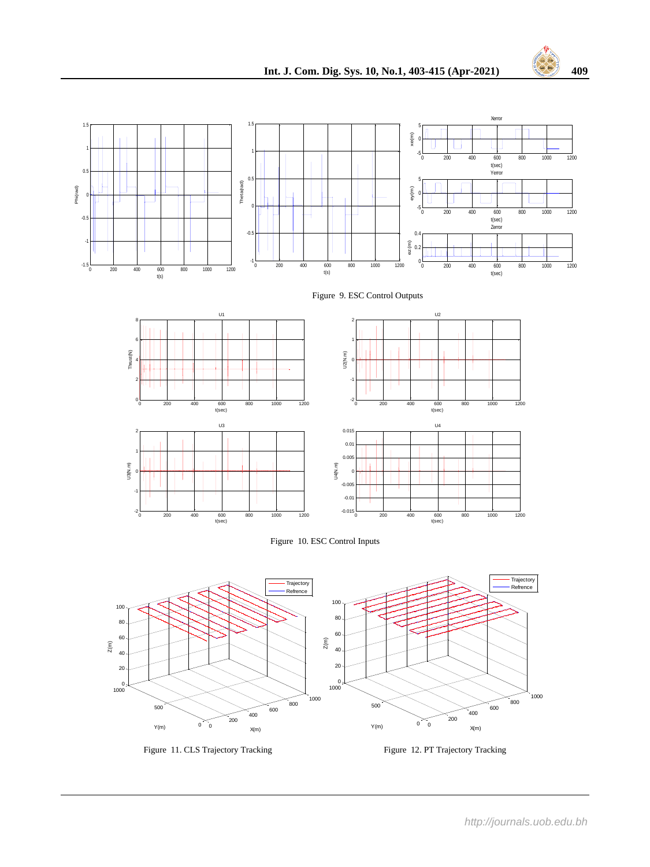











Figure 11. CLS Trajectory Tracking Figure 12. PT Trajectory Tracking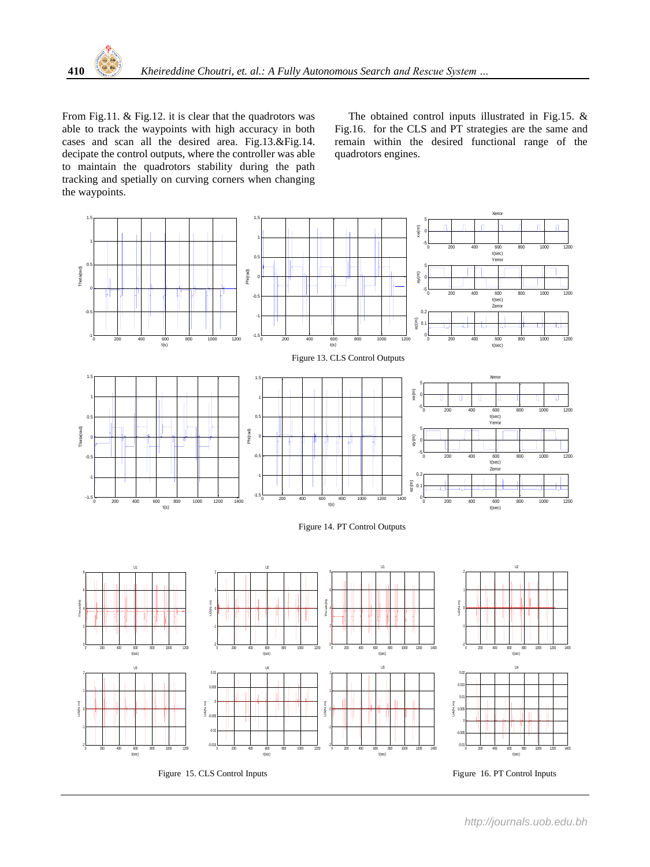From Fig.11. & Fig.12. it is clear that the quadrotors was able to track the waypoints with high accuracy in both cases and scan all the desired area. Fig.13.&Fig.14. decipate the control outputs, where the controller was able to maintain the quadrotors stability during the path tracking and spetially on curving corners when changing the waypoints.

 The obtained control inputs illustrated in Fig.15. & Fig.16. for the CLS and PT strategies are the same and remain within the desired functional range of the quadrotors engines.

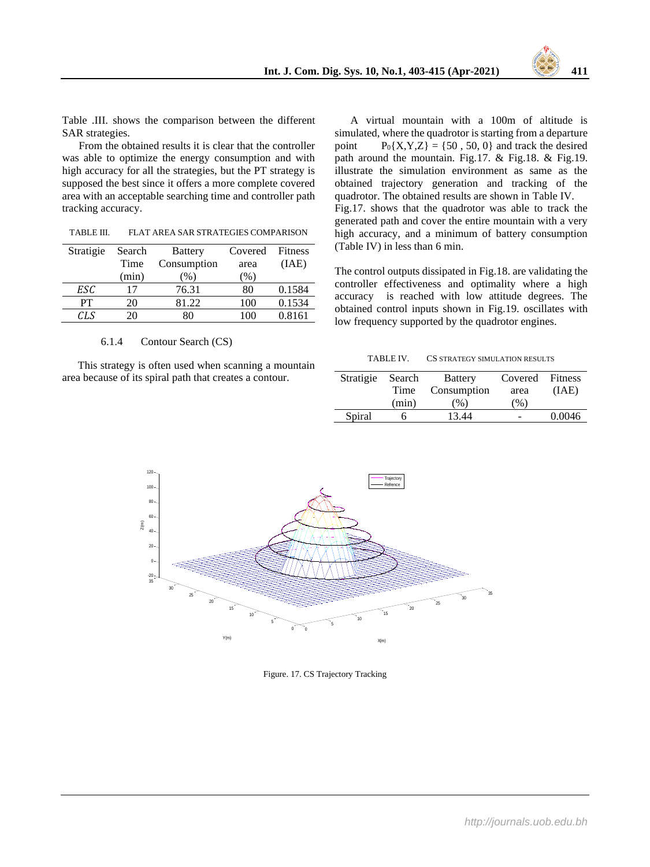

Table .III. shows the comparison between the different SAR strategies.

 From the obtained results it is clear that the controller was able to optimize the energy consumption and with high accuracy for all the strategies, but the PT strategy is supposed the best since it offers a more complete covered area with an acceptable searching time and controller path tracking accuracy.

| TABLE III. | FLAT AREA SAR STRATEGIES COMPARISON |  |
|------------|-------------------------------------|--|
|------------|-------------------------------------|--|

| Stratigie | Search | <b>Battery</b> | Covered | <b>Fitness</b> |
|-----------|--------|----------------|---------|----------------|
|           | Time   | Consumption    | area    | (IAE)          |
|           | (min)  | $\%$ )         | $\%$ )  |                |
| ESC       | 17     | 76.31          | 80      | 0.1584         |
| PТ        | 20     | 81.22          | 100     | 0.1534         |
| CLS       | 20     | 80             | LOO     | 0.8161         |
|           |        |                |         |                |

#### 6.1.4 Contour Search (CS)

This strategy is often used when scanning a mountain area because of its spiral path that creates a contour.

A virtual mountain with a 100m of altitude is simulated, where the quadrotor is starting from a departure point  $P_0{X,Y,Z} = {50, 50, 0}$  and track the desired path around the mountain. Fig.17. & Fig.18. & Fig.19. illustrate the simulation environment as same as the obtained trajectory generation and tracking of the quadrotor. The obtained results are shown in Table IV. Fig.17. shows that the quadrotor was able to track the generated path and cover the entire mountain with a very high accuracy, and a minimum of battery consumption (Table IV) in less than 6 min.

The control outputs dissipated in Fig.18. are validating the controller effectiveness and optimality where a high accuracy is reached with low attitude degrees. The obtained control inputs shown in Fig.19. oscillates with low frequency supported by the quadrotor engines.

| Stratigie Search |       | <b>Battery</b> | Covered Fitness |        |
|------------------|-------|----------------|-----------------|--------|
|                  | Time  | Consumption    | area            | (IAE)  |
|                  | (min) | $($ %)         | (%)             |        |
| Spiral           |       | 13.44          |                 | 0.0046 |



Figure. 17. CS Trajectory Tracking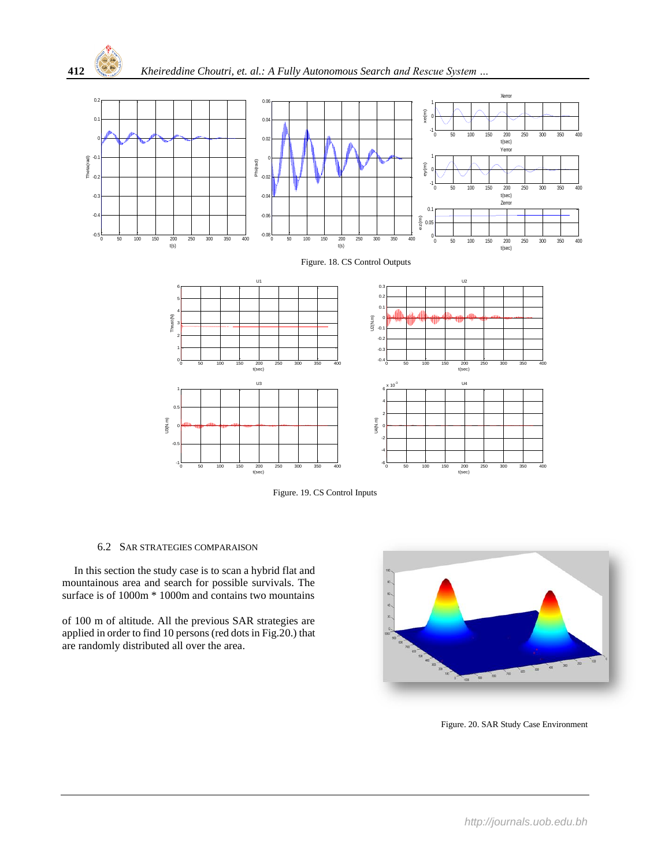



# 6.2 SAR STRATEGIES COMPARAISON

 In this section the study case is to scan a hybrid flat and mountainous area and search for possible survivals. The surface is of 1000m  $*$  1000m and contains two mountains

of 100 m of altitude. All the previous SAR strategies are applied in order to find 10 persons (red dots in Fig.20.) that are randomly distributed all over the area.



Figure. 20. SAR Study Case Environment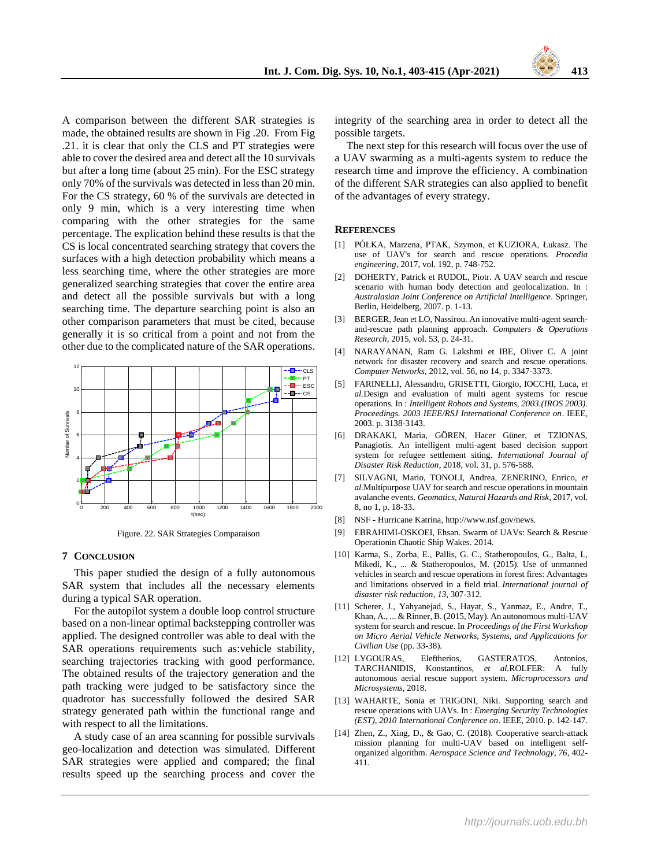

A comparison between the different SAR strategies is made, the obtained results are shown in Fig .20. From Fig .21. it is clear that only the CLS and PT strategies were able to cover the desired area and detect all the 10 survivals but after a long time (about 25 min). For the ESC strategy only 70% of the survivals was detected in less than 20 min. For the CS strategy, 60 % of the survivals are detected in only 9 min, which is a very interesting time when comparing with the other strategies for the same percentage. The explication behind these results is that the CS is local concentrated searching strategy that covers the surfaces with a high detection probability which means a less searching time, where the other strategies are more generalized searching strategies that cover the entire area and detect all the possible survivals but with a long searching time. The departure searching point is also an other comparison parameters that must be cited, because generally it is so critical from a point and not from the other due to the complicated nature of the SAR operations.



Figure. 22. SAR Strategies Comparaison

#### **7 CONCLUSION**

This paper studied the design of a fully autonomous SAR system that includes all the necessary elements during a typical SAR operation.

For the autopilot system a double loop control structure based on a non-linear optimal backstepping controller was applied. The designed controller was able to deal with the SAR operations requirements such as:vehicle stability, searching trajectories tracking with good performance. The obtained results of the trajectory generation and the path tracking were judged to be satisfactory since the quadrotor has successfully followed the desired SAR strategy generated path within the functional range and with respect to all the limitations.

A study case of an area scanning for possible survivals geo-localization and detection was simulated. Different SAR strategies were applied and compared; the final results speed up the searching process and cover the

integrity of the searching area in order to detect all the possible targets.

The next step for this research will focus over the use of a UAV swarming as a multi-agents system to reduce the research time and improve the efficiency. A combination of the different SAR strategies can also applied to benefit of the advantages of every strategy.

## **REFERENCES**

- [1] PÓŁKA, Marzena, PTAK, Szymon, et KUZIORA, Łukasz. The use of UAV's for search and rescue operations. *Procedia engineering*, 2017, vol. 192, p. 748-752.
- [2] DOHERTY, Patrick et RUDOL, Piotr. A UAV search and rescue scenario with human body detection and geolocalization. In : *Australasian Joint Conference on Artificial Intelligence*. Springer, Berlin, Heidelberg, 2007. p. 1-13.
- [3] BERGER, Jean et LO, Nassirou. An innovative multi-agent searchand-rescue path planning approach. *Computers & Operations Research*, 2015, vol. 53, p. 24-31.
- [4] NARAYANAN, Ram G. Lakshmi et IBE, Oliver C. A joint network for disaster recovery and search and rescue operations. *Computer Networks*, 2012, vol. 56, no 14, p. 3347-3373.
- [5] FARINELLI, Alessandro, GRISETTI, Giorgio, IOCCHI, Luca, *et al.*Design and evaluation of multi agent systems for rescue operations. In : *Intelligent Robots and Systems, 2003.(IROS 2003). Proceedings. 2003 IEEE/RSJ International Conference on*. IEEE, 2003. p. 3138-3143.
- [6] DRAKAKI, Maria, GÖREN, Hacer Güner, et TZIONAS, Panagiotis. An intelligent multi-agent based decision support system for refugee settlement siting. *International Journal of Disaster Risk Reduction*, 2018, vol. 31, p. 576-588.
- [7] SILVAGNI, Mario, TONOLI, Andrea, ZENERINO, Enrico, *et al.*Multipurpose UAV for search and rescue operations in mountain avalanche events. *Geomatics, Natural Hazards and Risk*, 2017, vol. 8, no 1, p. 18-33.
- [8] NSF Hurricane Katrina[, http://www.nsf.gov/news.](http://www.nsf.gov/news.)
- [9] EBRAHIMI-OSKOEI, Ehsan. Swarm of UAVs: Search & Rescue Operationin Chaotic Ship Wakes. 2014.
- [10] Karma, S., Zorba, E., Pallis, G. C., Statheropoulos, G., Balta, I., Mikedi, K., ... & Statheropoulos, M. (2015). Use of unmanned vehicles in search and rescue operations in forest fires: Advantages and limitations observed in a field trial. *International journal of disaster risk reduction*, *13*, 307-312.
- [11] Scherer, J., Yahyanejad, S., Hayat, S., Yanmaz, E., Andre, T., Khan, A., ... & Rinner, B. (2015, May). An autonomous multi-UAV system for search and rescue. In *Proceedings of the First Workshop on Micro Aerial Vehicle Networks, Systems, and Applications for Civilian Use* (pp. 33-38).
- [12] LYGOURAS, Eleftherios, GASTERATOS, Antonios, TARCHANIDIS, Konstantinos, *et al.*ROLFER: A fully autonomous aerial rescue support system. *Microprocessors and Microsystems*, 2018.
- [13] WAHARTE, Sonia et TRIGONI, Niki. Supporting search and rescue operations with UAVs. In : *Emerging Security Technologies (EST), 2010 International Conference on*. IEEE, 2010. p. 142-147.
- [14] Zhen, Z., Xing, D., & Gao, C. (2018). Cooperative search-attack mission planning for multi-UAV based on intelligent selforganized algorithm. *Aerospace Science and Technology*, *76*, 402- 411.